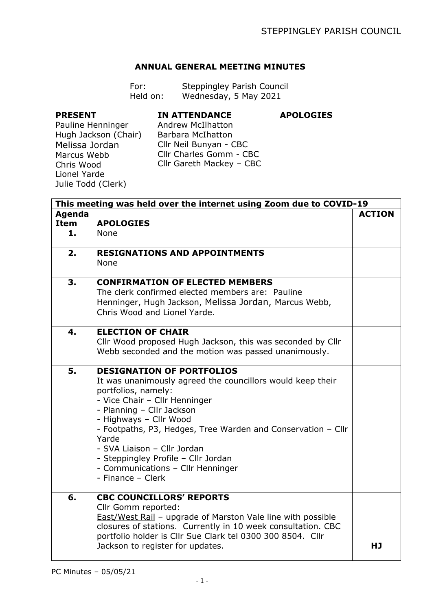## **ANNUAL GENERAL MEETING MINUTES**

| For:     | Steppingley Parish Council |
|----------|----------------------------|
| Held on: | Wednesday, 5 May 2021      |

## **PRESENT**

## **IN ATTENDANCE**

**APOLOGIES**

Pauline Henninger Hugh Jackson (Chair) Melissa Jordan Marcus Webb Chris Wood Lionel Yarde Julie Todd (Clerk)

Andrew McIlhatton Barbara McIhatton Cllr Neil Bunyan - CBC Cllr Charles Gomm - CBC Cllr Gareth Mackey – CBC

|                             | This meeting was held over the internet using Zoom due to COVID-19                                                                                                                                                                                                                                                                                                                                                     |               |  |  |
|-----------------------------|------------------------------------------------------------------------------------------------------------------------------------------------------------------------------------------------------------------------------------------------------------------------------------------------------------------------------------------------------------------------------------------------------------------------|---------------|--|--|
| Agenda<br><b>Item</b><br>1. | <b>APOLOGIES</b><br>None                                                                                                                                                                                                                                                                                                                                                                                               | <b>ACTION</b> |  |  |
| 2.                          | <b>RESIGNATIONS AND APPOINTMENTS</b><br>None                                                                                                                                                                                                                                                                                                                                                                           |               |  |  |
| 3.                          | <b>CONFIRMATION OF ELECTED MEMBERS</b><br>The clerk confirmed elected members are: Pauline<br>Henninger, Hugh Jackson, Melissa Jordan, Marcus Webb,<br>Chris Wood and Lionel Yarde.                                                                                                                                                                                                                                    |               |  |  |
| 4.                          | <b>ELECTION OF CHAIR</b><br>Cllr Wood proposed Hugh Jackson, this was seconded by Cllr<br>Webb seconded and the motion was passed unanimously.                                                                                                                                                                                                                                                                         |               |  |  |
| 5.                          | <b>DESIGNATION OF PORTFOLIOS</b><br>It was unanimously agreed the councillors would keep their<br>portfolios, namely:<br>- Vice Chair - Cllr Henninger<br>- Planning - Cllr Jackson<br>- Highways - Cllr Wood<br>- Footpaths, P3, Hedges, Tree Warden and Conservation - Cllr<br>Yarde<br>- SVA Liaison - Cllr Jordan<br>- Steppingley Profile - Cllr Jordan<br>- Communications - Cllr Henninger<br>- Finance - Clerk |               |  |  |
| 6.                          | <b>CBC COUNCILLORS' REPORTS</b><br>Cllr Gomm reported:<br>East/West Rail - upgrade of Marston Vale line with possible<br>closures of stations. Currently in 10 week consultation. CBC<br>portfolio holder is Cllr Sue Clark tel 0300 300 8504. Cllr<br>Jackson to register for updates.                                                                                                                                | HJ            |  |  |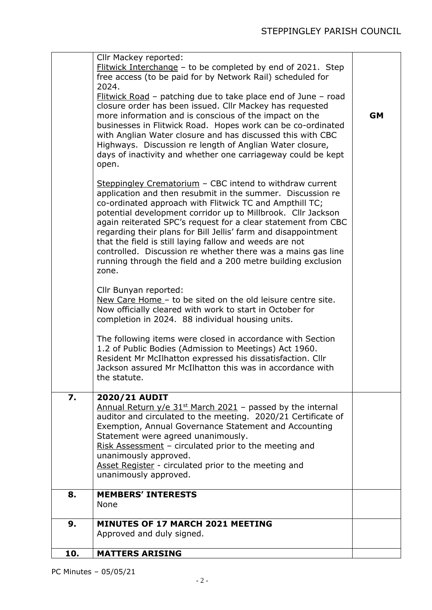| Flitwick Interchange - to be completed by end of 2021. Step<br>free access (to be paid for by Network Rail) scheduled for<br>2024.<br>Flitwick Road - patching due to take place end of June - road<br>closure order has been issued. Cllr Mackey has requested<br>more information and is conscious of the impact on the<br>businesses in Flitwick Road. Hopes work can be co-ordinated<br>with Anglian Water closure and has discussed this with CBC<br>Highways. Discussion re length of Anglian Water closure,<br>days of inactivity and whether one carriageway could be kept<br>open.<br>Steppingley Crematorium - CBC intend to withdraw current<br>application and then resubmit in the summer. Discussion re<br>co-ordinated approach with Flitwick TC and Ampthill TC;<br>potential development corridor up to Millbrook. Cllr Jackson<br>again reiterated SPC's request for a clear statement from CBC<br>regarding their plans for Bill Jellis' farm and disappointment<br>that the field is still laying fallow and weeds are not<br>controlled. Discussion re whether there was a mains gas line<br>running through the field and a 200 metre building exclusion<br>zone.<br>Cllr Bunyan reported:<br>New Care Home - to be sited on the old leisure centre site.<br>Now officially cleared with work to start in October for<br>completion in 2024. 88 individual housing units.<br>The following items were closed in accordance with Section<br>1.2 of Public Bodies (Admission to Meetings) Act 1960.<br>Resident Mr McIlhatton expressed his dissatisfaction. Cllr<br>Jackson assured Mr McIlhatton this was in accordance with<br>the statute. | <b>GM</b> |
|--------------------------------------------------------------------------------------------------------------------------------------------------------------------------------------------------------------------------------------------------------------------------------------------------------------------------------------------------------------------------------------------------------------------------------------------------------------------------------------------------------------------------------------------------------------------------------------------------------------------------------------------------------------------------------------------------------------------------------------------------------------------------------------------------------------------------------------------------------------------------------------------------------------------------------------------------------------------------------------------------------------------------------------------------------------------------------------------------------------------------------------------------------------------------------------------------------------------------------------------------------------------------------------------------------------------------------------------------------------------------------------------------------------------------------------------------------------------------------------------------------------------------------------------------------------------------------------------------------------------------------------------------------------------|-----------|
| 7.<br>2020/21 AUDIT<br>Annual Return $y/e$ 31 <sup>st</sup> March 2021 - passed by the internal<br>auditor and circulated to the meeting. 2020/21 Certificate of<br>Exemption, Annual Governance Statement and Accounting<br>Statement were agreed unanimously.<br>Risk Assessment - circulated prior to the meeting and<br>unanimously approved.<br>Asset Register - circulated prior to the meeting and<br>unanimously approved.                                                                                                                                                                                                                                                                                                                                                                                                                                                                                                                                                                                                                                                                                                                                                                                                                                                                                                                                                                                                                                                                                                                                                                                                                                 |           |
| <b>MEMBERS' INTERESTS</b><br>8.<br>None                                                                                                                                                                                                                                                                                                                                                                                                                                                                                                                                                                                                                                                                                                                                                                                                                                                                                                                                                                                                                                                                                                                                                                                                                                                                                                                                                                                                                                                                                                                                                                                                                            |           |
| <b>MINUTES OF 17 MARCH 2021 MEETING</b><br>9.<br>Approved and duly signed.                                                                                                                                                                                                                                                                                                                                                                                                                                                                                                                                                                                                                                                                                                                                                                                                                                                                                                                                                                                                                                                                                                                                                                                                                                                                                                                                                                                                                                                                                                                                                                                         |           |
| <b>MATTERS ARISING</b><br>10.                                                                                                                                                                                                                                                                                                                                                                                                                                                                                                                                                                                                                                                                                                                                                                                                                                                                                                                                                                                                                                                                                                                                                                                                                                                                                                                                                                                                                                                                                                                                                                                                                                      |           |